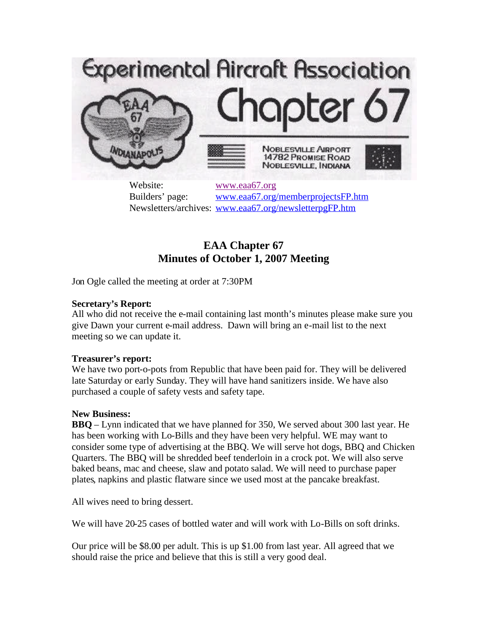

Website: [www.eaa67.org](http://www.eaa67.org/) Builders' page: [www.eaa67.org/memberprojectsFP.htm](http://www.eaa67.org/memberprojectsFP.htm) Newsletters/archives: [www.eaa67.org/newsletterpgFP.htm](http://www.eaa67.org/newsletterpgFP.htm)

# **EAA Chapter 67 Minutes of October 1, 2007 Meeting**

Jon Ogle called the meeting at order at 7:30PM

# **Secretary's Report:**

All who did not receive the e-mail containing last month's minutes please make sure you give Dawn your current e-mail address. Dawn will bring an e-mail list to the next meeting so we can update it.

### **Treasurer's report:**

We have two port-o-pots from Republic that have been paid for. They will be delivered late Saturday or early Sunday. They will have hand sanitizers inside. We have also purchased a couple of safety vests and safety tape.

### **New Business:**

**BBQ** – Lynn indicated that we have planned for 350, We served about 300 last year. He has been working with Lo-Bills and they have been very helpful. WE may want to consider some type of advertising at the BBQ. We will serve hot dogs, BBQ and Chicken Quarters. The BBQ will be shredded beef tenderloin in a crock pot. We will also serve baked beans, mac and cheese, slaw and potato salad. We will need to purchase paper plates, napkins and plastic flatware since we used most at the pancake breakfast.

All wives need to bring dessert.

We will have 20-25 cases of bottled water and will work with Lo-Bills on soft drinks.

Our price will be \$8.00 per adult. This is up \$1.00 from last year. All agreed that we should raise the price and believe that this is still a very good deal.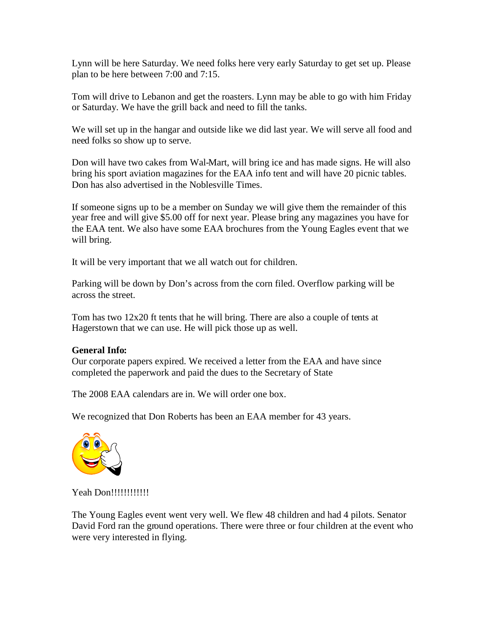Lynn will be here Saturday. We need folks here very early Saturday to get set up. Please plan to be here between 7:00 and 7:15.

Tom will drive to Lebanon and get the roasters. Lynn may be able to go with him Friday or Saturday. We have the grill back and need to fill the tanks.

We will set up in the hangar and outside like we did last year. We will serve all food and need folks so show up to serve.

Don will have two cakes from Wal-Mart, will bring ice and has made signs. He will also bring his sport aviation magazines for the EAA info tent and will have 20 picnic tables. Don has also advertised in the Noblesville Times.

If someone signs up to be a member on Sunday we will give them the remainder of this year free and will give \$5.00 off for next year. Please bring any magazines you have for the EAA tent. We also have some EAA brochures from the Young Eagles event that we will bring.

It will be very important that we all watch out for children.

Parking will be down by Don's across from the corn filed. Overflow parking will be across the street.

Tom has two 12x20 ft tents that he will bring. There are also a couple of tents at Hagerstown that we can use. He will pick those up as well.

### **General Info:**

Our corporate papers expired. We received a letter from the EAA and have since completed the paperwork and paid the dues to the Secretary of State

The 2008 EAA calendars are in. We will order one box.

We recognized that Don Roberts has been an EAA member for 43 years.



Yeah Don!!!!!!!!!!!!!

The Young Eagles event went very well. We flew 48 children and had 4 pilots. Senator David Ford ran the ground operations. There were three or four children at the event who were very interested in flying.